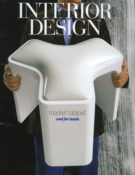# market tabloid cool for stools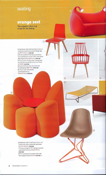# seating

#### **orange zest**

This season's citrus crop is ripe for the picking

1. Eisenhower chair with laminate surface on molded plywood shell and solid maple legs by TMC Furniture. circle 240

 $\boxed{1}$ 

 $\boxed{8}$ 

 $\overline{z}$ 

..Jr; •

 $\boxed{3}$ 

 $\boxed{5}$ 

2. Morfeo sofabed in flexible polyurethane resin upholstered in elastic fabric with adjustable lamps by Domodinamica. circle 241 **3.** Piero Lissoni's Audrey chair in polypropy ene with die-cast polished aluminum frame

by Kartell. circle 242

4. Antonio Citterio's Ray club chair with bronze base by B&B Italia. circle 243 5. Cholo 2 chair with powder-

coated steel base by Ezequiel Farca. circle 244

 $\boxed{6}$ 

6. Mayflower chair in solid wood, foam, and batting with cotton-polyamide upholstery by Roche Bobois. circle 245 7. Clicquot lounger in PVC netting on powde coated steel frame by Ezequiel Farca.

circle 246 8. Patricia Urquiola's Comback chair with thermoplastic seat by Kartell. circle 247